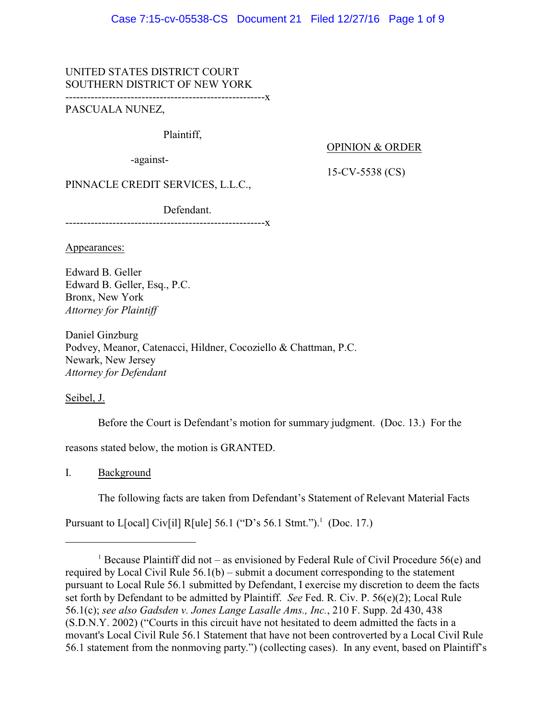## UNITED STATES DISTRICT COURT SOUTHERN DISTRICT OF NEW YORK

-------------------------------------------------------x

## PASCUALA NUNEZ,

## Plaintiff,

-against-

## OPINION & ORDER

15-CV-5538 (CS)

PINNACLE CREDIT SERVICES, L.L.C.,

Defendant.

-------------------------------------------------------x

Appearances:

Edward B. Geller Edward B. Geller, Esq., P.C. Bronx, New York *Attorney for Plaintiff*

Daniel Ginzburg Podvey, Meanor, Catenacci, Hildner, Cocoziello & Chattman, P.C. Newark, New Jersey *Attorney for Defendant*

Seibel, J.

Before the Court is Defendant's motion for summary judgment. (Doc. 13.) For the

reasons stated below, the motion is GRANTED.

I. Background

The following facts are taken from Defendant's Statement of Relevant Material Facts

Pursuant to L[ocal] Civ[il] R[ule] 56.1 ("D's 56.1 Stmt.").<sup>1</sup> (Doc. 17.)

<sup>&</sup>lt;sup>1</sup> Because Plaintiff did not – as envisioned by Federal Rule of Civil Procedure 56(e) and required by Local Civil Rule 56.1(b) – submit a document corresponding to the statement pursuant to Local Rule 56.1 submitted by Defendant, I exercise my discretion to deem the facts set forth by Defendant to be admitted by Plaintiff. *See* Fed. R. Civ. P. 56(e)(2); Local Rule 56.1(c); *see also Gadsden v. Jones Lange Lasalle Ams., Inc.*, 210 F. Supp. 2d 430, 438 (S.D.N.Y. 2002) ("Courts in this circuit have not hesitated to deem admitted the facts in a movant's Local Civil Rule 56.1 Statement that have not been controverted by a Local Civil Rule 56.1 statement from the nonmoving party.") (collecting cases). In any event, based on Plaintiff's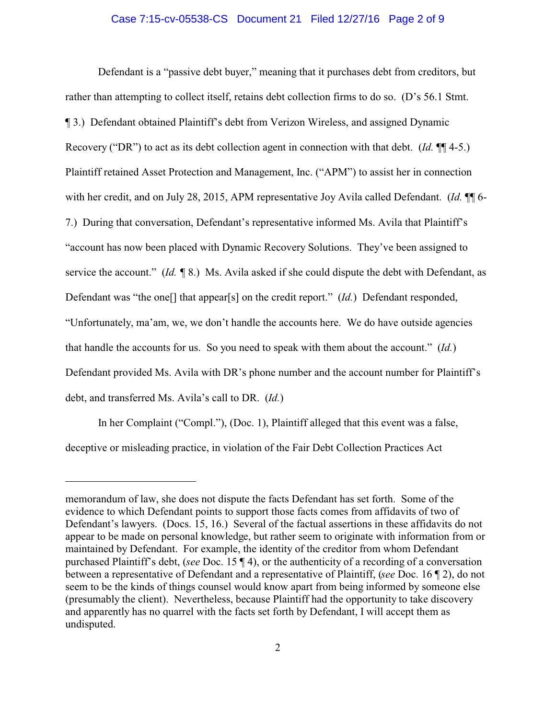#### Case 7:15-cv-05538-CS Document 21 Filed 12/27/16 Page 2 of 9

Defendant is a "passive debt buyer," meaning that it purchases debt from creditors, but rather than attempting to collect itself, retains debt collection firms to do so. (D's 56.1 Stmt. ¶ 3.) Defendant obtained Plaintiff's debt from Verizon Wireless, and assigned Dynamic Recovery ("DR") to act as its debt collection agent in connection with that debt. (*Id.* ¶¶ 4-5.) Plaintiff retained Asset Protection and Management, Inc. ("APM") to assist her in connection with her credit, and on July 28, 2015, APM representative Joy Avila called Defendant. (*Id.* ¶ 6-7.) During that conversation, Defendant's representative informed Ms. Avila that Plaintiff's "account has now been placed with Dynamic Recovery Solutions. They've been assigned to service the account." (*Id.* ¶ 8.) Ms. Avila asked if she could dispute the debt with Defendant, as Defendant was "the one[] that appear[s] on the credit report." (*Id.*) Defendant responded, "Unfortunately, ma'am, we, we don't handle the accounts here. We do have outside agencies that handle the accounts for us. So you need to speak with them about the account." (*Id.*) Defendant provided Ms. Avila with DR's phone number and the account number for Plaintiff's debt, and transferred Ms. Avila's call to DR. (*Id.*)

In her Complaint ("Compl."), (Doc. 1), Plaintiff alleged that this event was a false, deceptive or misleading practice, in violation of the Fair Debt Collection Practices Act

memorandum of law, she does not dispute the facts Defendant has set forth. Some of the evidence to which Defendant points to support those facts comes from affidavits of two of Defendant's lawyers. (Docs. 15, 16.) Several of the factual assertions in these affidavits do not appear to be made on personal knowledge, but rather seem to originate with information from or maintained by Defendant. For example, the identity of the creditor from whom Defendant purchased Plaintiff's debt, (*see* Doc. 15 ¶ 4), or the authenticity of a recording of a conversation between a representative of Defendant and a representative of Plaintiff, (*see* Doc. 16 ¶ 2), do not seem to be the kinds of things counsel would know apart from being informed by someone else (presumably the client). Nevertheless, because Plaintiff had the opportunity to take discovery and apparently has no quarrel with the facts set forth by Defendant, I will accept them as undisputed.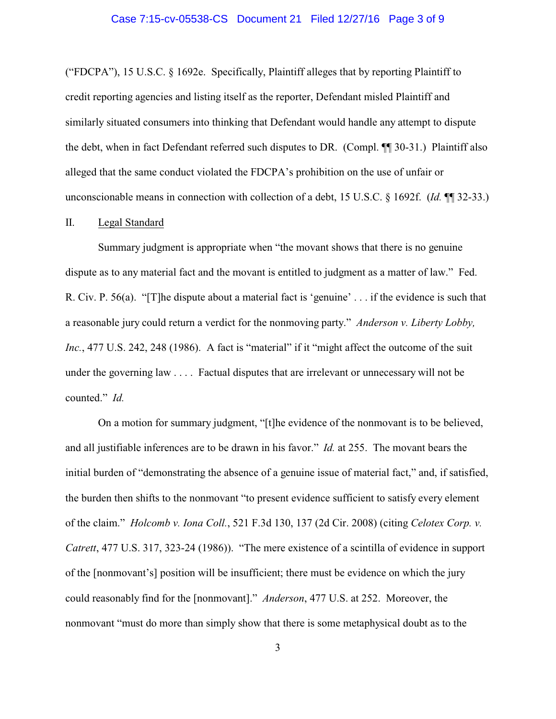### Case 7:15-cv-05538-CS Document 21 Filed 12/27/16 Page 3 of 9

("FDCPA"), 15 U.S.C.  $\S$  1692e. Specifically, Plaintiff alleges that by reporting Plaintiff to credit reporting agencies and listing itself as the reporter, Defendant misled Plaintiff and similarly situated consumers into thinking that Defendant would handle any attempt to dispute the debt, when in fact Defendant referred such disputes to DR. (Compl. ¶¶ 30-31.) Plaintiff also alleged that the same conduct violated the FDCPA's prohibition on the use of unfair or unconscionable means in connection with collection of a debt, 15 U.S.C. § 1692f. (*Id.* ¶¶ 32-33.)

### II. Legal Standard

Summary judgment is appropriate when "the movant shows that there is no genuine dispute as to any material fact and the movant is entitled to judgment as a matter of law." Fed. R. Civ. P. 56(a). "[T]he dispute about a material fact is 'genuine' . . . if the evidence is such that a reasonable jury could return a verdict for the nonmoving party." *Anderson v. Liberty Lobby, Inc.*, 477 U.S. 242, 248 (1986). A fact is "material" if it "might affect the outcome of the suit under the governing law . . . . Factual disputes that are irrelevant or unnecessary will not be counted." *Id.*

On a motion for summary judgment, "[t]he evidence of the nonmovant is to be believed, and all justifiable inferences are to be drawn in his favor." *Id.* at 255. The movant bears the initial burden of "demonstrating the absence of a genuine issue of material fact," and, if satisfied, the burden then shifts to the nonmovant "to present evidence sufficient to satisfy every element of the claim." *Holcomb v. Iona Coll.*, 521 F.3d 130, 137 (2d Cir. 2008) (citing *Celotex Corp. v. Catrett*, 477 U.S. 317, 323-24 (1986)). "The mere existence of a scintilla of evidence in support of the [nonmovant's] position will be insufficient; there must be evidence on which the jury could reasonably find for the [nonmovant]." *Anderson*, 477 U.S. at 252. Moreover, the nonmovant "must do more than simply show that there is some metaphysical doubt as to the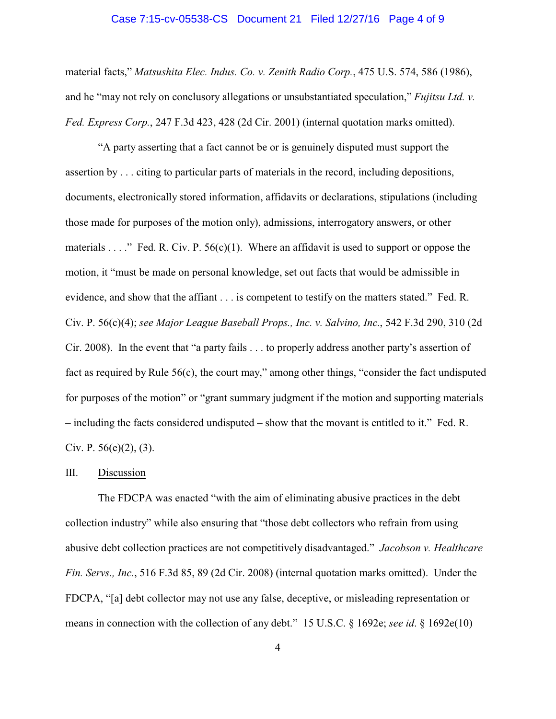### Case 7:15-cv-05538-CS Document 21 Filed 12/27/16 Page 4 of 9

material facts," *Matsushita Elec. Indus. Co. v. Zenith Radio Corp.*, 475 U.S. 574, 586 (1986), and he "may not rely on conclusory allegations or unsubstantiated speculation," *Fujitsu Ltd. v. Fed. Express Corp.*, 247 F.3d 423, 428 (2d Cir. 2001) (internal quotation marks omitted).

"A party asserting that a fact cannot be or is genuinely disputed must support the assertion by . . . citing to particular parts of materials in the record, including depositions, documents, electronically stored information, affidavits or declarations, stipulations (including those made for purposes of the motion only), admissions, interrogatory answers, or other materials . . . ." Fed. R. Civ. P.  $56(c)(1)$ . Where an affidavit is used to support or oppose the motion, it "must be made on personal knowledge, set out facts that would be admissible in evidence, and show that the affiant . . . is competent to testify on the matters stated." Fed. R. Civ. P. 56(c)(4); *see Major League Baseball Props., Inc. v. Salvino, Inc.*, 542 F.3d 290, 310 (2d Cir. 2008). In the event that "a party fails . . . to properly address another party's assertion of fact as required by Rule 56(c), the court may," among other things, "consider the fact undisputed for purposes of the motion" or "grant summary judgment if the motion and supporting materials – including the facts considered undisputed – show that the movant is entitled to it." Fed. R. Civ. P.  $56(e)(2)$ , (3).

#### III. Discussion

The FDCPA was enacted "with the aim of eliminating abusive practices in the debt collection industry" while also ensuring that "those debt collectors who refrain from using abusive debt collection practices are not competitively disadvantaged." *Jacobson v. Healthcare Fin. Servs., Inc.*, 516 F.3d 85, 89 (2d Cir. 2008) (internal quotation marks omitted). Under the FDCPA, "[a] debt collector may not use any false, deceptive, or misleading representation or means in connection with the collection of any debt." 15 U.S.C. § 1692e; *see id*. § 1692e(10)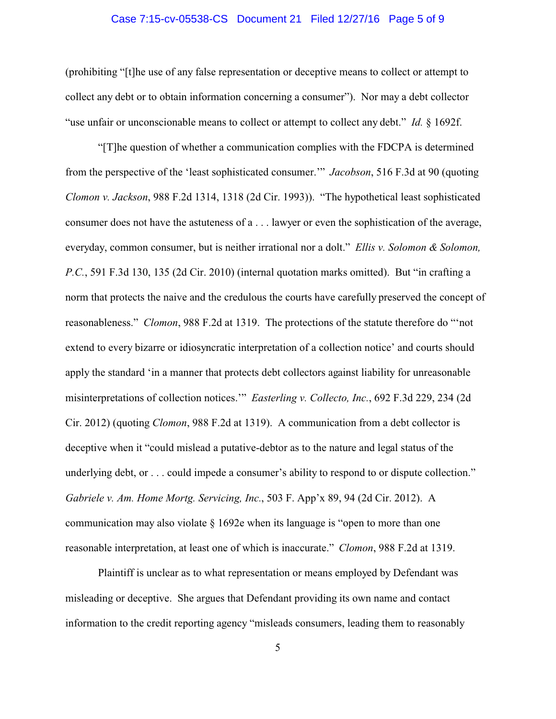### Case 7:15-cv-05538-CS Document 21 Filed 12/27/16 Page 5 of 9

(prohibiting "[t]he use of any false representation or deceptive means to collect or attempt to collect any debt or to obtain information concerning a consumer"). Nor may a debt collector "use unfair or unconscionable means to collect or attempt to collect any debt." *Id.* § 1692f.

"[T]he question of whether a communication complies with the FDCPA is determined from the perspective of the 'least sophisticated consumer.'" *Jacobson*, 516 F.3d at 90 (quoting *Clomon v. Jackson*, 988 F.2d 1314, 1318 (2d Cir. 1993)). "The hypothetical least sophisticated consumer does not have the astuteness of a . . . lawyer or even the sophistication of the average, everyday, common consumer, but is neither irrational nor a dolt." *Ellis v. Solomon & Solomon, P.C.*, 591 F.3d 130, 135 (2d Cir. 2010) (internal quotation marks omitted). But "in crafting a norm that protects the naive and the credulous the courts have carefully preserved the concept of reasonableness." *Clomon*, 988 F.2d at 1319. The protections of the statute therefore do "'not extend to every bizarre or idiosyncratic interpretation of a collection notice' and courts should apply the standard 'in a manner that protects debt collectors against liability for unreasonable misinterpretations of collection notices.'" *Easterling v. Collecto, Inc.*, 692 F.3d 229, 234 (2d Cir. 2012) (quoting *Clomon*, 988 F.2d at 1319). A communication from a debt collector is deceptive when it "could mislead a putative-debtor as to the nature and legal status of the underlying debt, or . . . could impede a consumer's ability to respond to or dispute collection." *Gabriele v. Am. Home Mortg. Servicing, Inc.*, 503 F. App'x 89, 94 (2d Cir. 2012). A communication may also violate  $\S$  1692e when its language is "open to more than one reasonable interpretation, at least one of which is inaccurate." *Clomon*, 988 F.2d at 1319.

Plaintiff is unclear as to what representation or means employed by Defendant was misleading or deceptive. She argues that Defendant providing its own name and contact information to the credit reporting agency "misleads consumers, leading them to reasonably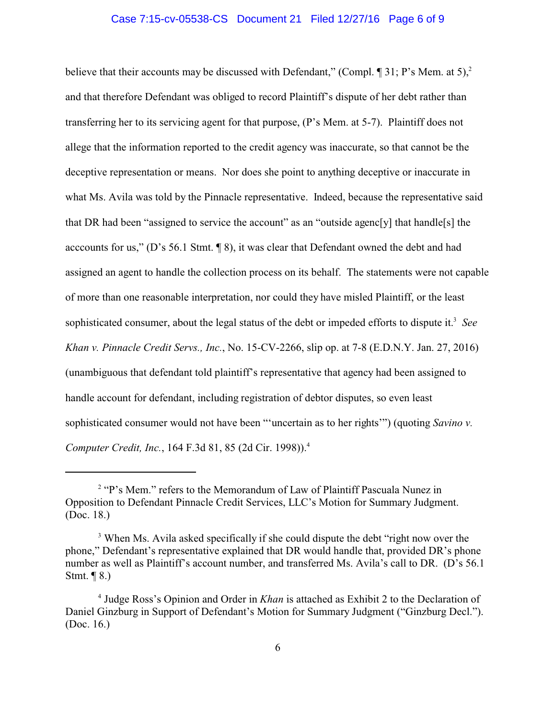## Case 7:15-cv-05538-CS Document 21 Filed 12/27/16 Page 6 of 9

believe that their accounts may be discussed with Defendant," (Compl.  $\P$  31; P's Mem. at 5),<sup>2</sup> and that therefore Defendant was obliged to record Plaintiff's dispute of her debt rather than transferring her to its servicing agent for that purpose, (P's Mem. at 5-7). Plaintiff does not allege that the information reported to the credit agency was inaccurate, so that cannot be the deceptive representation or means. Nor does she point to anything deceptive or inaccurate in what Ms. Avila was told by the Pinnacle representative. Indeed, because the representative said that DR had been "assigned to service the account" as an "outside agenc[y] that handle[s] the acccounts for us," (D's 56.1 Stmt. ¶ 8), it was clear that Defendant owned the debt and had assigned an agent to handle the collection process on its behalf. The statements were not capable of more than one reasonable interpretation, nor could they have misled Plaintiff, or the least sophisticated consumer, about the legal status of the debt or impeded efforts to dispute it.<sup>3</sup> See *Khan v. Pinnacle Credit Servs., Inc.*, No. 15-CV-2266, slip op. at 7-8 (E.D.N.Y. Jan. 27, 2016) (unambiguous that defendant told plaintiff's representative that agency had been assigned to handle account for defendant, including registration of debtor disputes, so even least sophisticated consumer would not have been "'uncertain as to her rights'") (quoting *Savino v. Computer Credit, Inc.*, 164 F.3d 81, 85 (2d Cir. 1998)).<sup>4</sup>

<sup>&</sup>lt;sup>2</sup> "P's Mem." refers to the Memorandum of Law of Plaintiff Pascuala Nunez in Opposition to Defendant Pinnacle Credit Services, LLC's Motion for Summary Judgment. (Doc. 18.)

<sup>&</sup>lt;sup>3</sup> When Ms. Avila asked specifically if she could dispute the debt "right now over the phone," Defendant's representative explained that DR would handle that, provided DR's phone number as well as Plaintiff's account number, and transferred Ms. Avila's call to DR. (D's 56.1 Stmt. ¶ 8.)

<sup>4</sup> Judge Ross's Opinion and Order in *Khan* is attached as Exhibit 2 to the Declaration of Daniel Ginzburg in Support of Defendant's Motion for Summary Judgment ("Ginzburg Decl."). (Doc. 16.)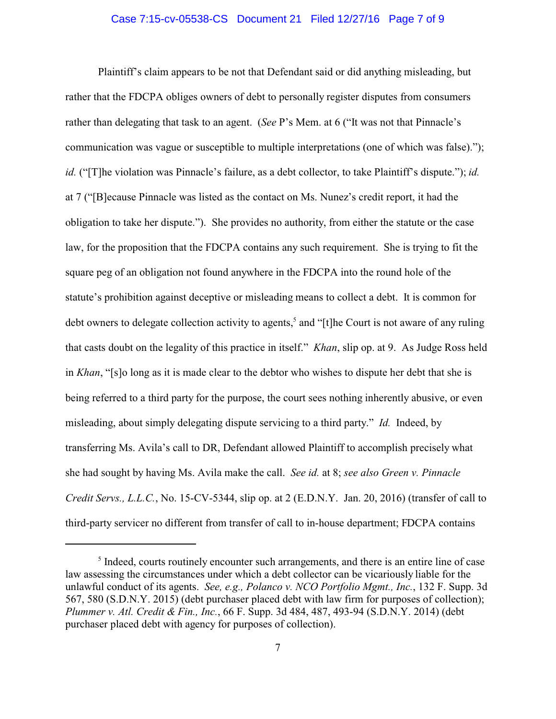## Case 7:15-cv-05538-CS Document 21 Filed 12/27/16 Page 7 of 9

Plaintiff's claim appears to be not that Defendant said or did anything misleading, but rather that the FDCPA obliges owners of debt to personally register disputes from consumers rather than delegating that task to an agent. (*See* P's Mem. at 6 ("It was not that Pinnacle's communication was vague or susceptible to multiple interpretations (one of which was false)."); *id.* ("[T]he violation was Pinnacle's failure, as a debt collector, to take Plaintiff's dispute."); *id.* at 7 ("[B]ecause Pinnacle was listed as the contact on Ms. Nunez's credit report, it had the obligation to take her dispute."). She provides no authority, from either the statute or the case law, for the proposition that the FDCPA contains any such requirement. She is trying to fit the square peg of an obligation not found anywhere in the FDCPA into the round hole of the statute's prohibition against deceptive or misleading means to collect a debt. It is common for debt owners to delegate collection activity to agents,<sup>5</sup> and "[t]he Court is not aware of any ruling that casts doubt on the legality of this practice in itself." *Khan*, slip op. at 9. As Judge Ross held in *Khan*, "[s]o long as it is made clear to the debtor who wishes to dispute her debt that she is being referred to a third party for the purpose, the court sees nothing inherently abusive, or even misleading, about simply delegating dispute servicing to a third party." *Id.* Indeed, by transferring Ms. Avila's call to DR, Defendant allowed Plaintiff to accomplish precisely what she had sought by having Ms. Avila make the call. *See id.* at 8; *see also Green v. Pinnacle Credit Servs., L.L.C.*, No. 15-CV-5344, slip op. at 2 (E.D.N.Y. Jan. 20, 2016) (transfer of call to third-party servicer no different from transfer of call to in-house department; FDCPA contains

<sup>&</sup>lt;sup>5</sup> Indeed, courts routinely encounter such arrangements, and there is an entire line of case law assessing the circumstances under which a debt collector can be vicariously liable for the unlawful conduct of its agents. *See, e.g., Polanco v. NCO Portfolio Mgmt., Inc.*, 132 F. Supp. 3d 567, 580 (S.D.N.Y. 2015) (debt purchaser placed debt with law firm for purposes of collection); *Plummer v. Atl. Credit & Fin., Inc.*, 66 F. Supp. 3d 484, 487, 493-94 (S.D.N.Y. 2014) (debt purchaser placed debt with agency for purposes of collection).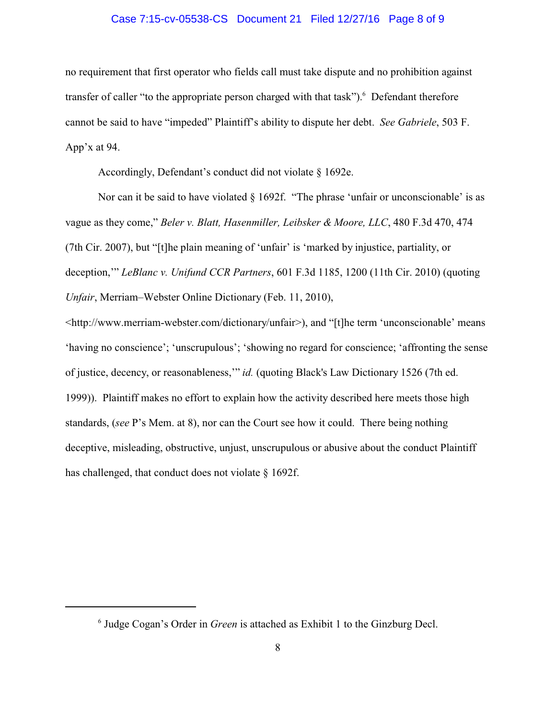### Case 7:15-cv-05538-CS Document 21 Filed 12/27/16 Page 8 of 9

no requirement that first operator who fields call must take dispute and no prohibition against transfer of caller "to the appropriate person charged with that task"). <sup>6</sup> Defendant therefore cannot be said to have "impeded" Plaintiff's ability to dispute her debt. *See Gabriele*, 503 F. App'x at 94.

Accordingly, Defendant's conduct did not violate § 1692e.

Nor can it be said to have violated  $\S$  1692f. "The phrase 'unfair or unconscionable' is as vague as they come," *Beler v. Blatt, Hasenmiller, Leibsker & Moore, LLC*, 480 F.3d 470, 474 (7th Cir. 2007), but "[t]he plain meaning of 'unfair' is 'marked by injustice, partiality, or deception,'" *LeBlanc v. Unifund CCR Partners*, 601 F.3d 1185, 1200 (11th Cir. 2010) (quoting *Unfair*, Merriam–Webster Online Dictionary (Feb. 11, 2010),

<http://www.merriam-webster.com/dictionary/unfair>), and "[t]he term 'unconscionable' means 'having no conscience'; 'unscrupulous'; 'showing no regard for conscience; 'affronting the sense of justice, decency, or reasonableness,'" *id.* (quoting Black's Law Dictionary 1526 (7th ed. 1999)). Plaintiff makes no effort to explain how the activity described here meets those high standards, (*see* P's Mem. at 8), nor can the Court see how it could. There being nothing deceptive, misleading, obstructive, unjust, unscrupulous or abusive about the conduct Plaintiff has challenged, that conduct does not violate § 1692f.

<sup>6</sup> Judge Cogan's Order in *Green* is attached as Exhibit 1 to the Ginzburg Decl.